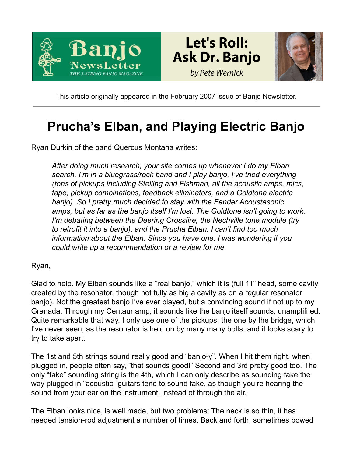





This article originally appeared in the February 2007 issue of Banjo Newsletter.

## **Prucha's Elban, and Playing Electric Banjo**

Ryan Durkin of the band Quercus Montana writes:

*After doing much research, your site comes up whenever I do my Elban search. I'm in a bluegrass/rock band and I play banjo. I've tried everything (tons of pickups including Stelling and Fishman, all the acoustic amps, mics, tape, pickup combinations, feedback eliminators, and a Goldtone electric banjo). So I pretty much decided to stay with the Fender Acoustasonic amps, but as far as the banjo itself I'm lost. The Goldtone isn't going to work. I'm debating between the Deering Crossfire, the Nechville tone module (try to retrofit it into a banjo), and the Prucha Elban. I can't find too much information about the Elban. Since you have one, I was wondering if you could write up a recommendation or a review for me.*

Ryan,

Glad to help. My Elban sounds like a "real banjo," which it is (full 11" head, some cavity created by the resonator, though not fully as big a cavity as on a regular resonator banjo). Not the greatest banjo I've ever played, but a convincing sound if not up to my Granada. Through my Centaur amp, it sounds like the banjo itself sounds, unamplifi ed. Quite remarkable that way. I only use one of the pickups; the one by the bridge, which I've never seen, as the resonator is held on by many many bolts, and it looks scary to try to take apart.

The 1st and 5th strings sound really good and "banjo-y". When I hit them right, when plugged in, people often say, "that sounds good!" Second and 3rd pretty good too. The only "fake" sounding string is the 4th, which I can only describe as sounding fake the way plugged in "acoustic" guitars tend to sound fake, as though you're hearing the sound from your ear on the instrument, instead of through the air.

The Elban looks nice, is well made, but two problems: The neck is so thin, it has needed tension-rod adjustment a number of times. Back and forth, sometimes bowed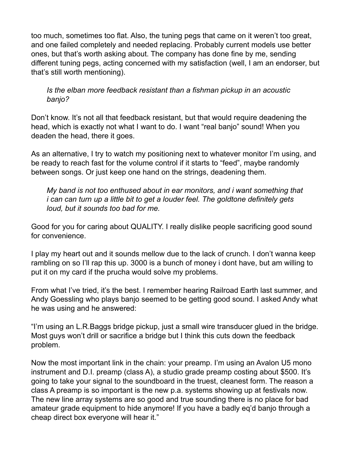too much, sometimes too flat. Also, the tuning pegs that came on it weren't too great, and one failed completely and needed replacing. Probably current models use better ones, but that's worth asking about. The company has done fine by me, sending different tuning pegs, acting concerned with my satisfaction (well, I am an endorser, but that's still worth mentioning).

## *Is the elban more feedback resistant than a fishman pickup in an acoustic banjo?*

Don't know. It's not all that feedback resistant, but that would require deadening the head, which is exactly not what I want to do. I want "real banjo" sound! When you deaden the head, there it goes.

As an alternative, I try to watch my positioning next to whatever monitor I'm using, and be ready to reach fast for the volume control if it starts to "feed", maybe randomly between songs. Or just keep one hand on the strings, deadening them.

*My band is not too enthused about in ear monitors, and i want something that i can can turn up a little bit to get a louder feel. The goldtone definitely gets loud, but it sounds too bad for me.*

Good for you for caring about QUALITY. I really dislike people sacrificing good sound for convenience.

I play my heart out and it sounds mellow due to the lack of crunch. I don't wanna keep rambling on so I'll rap this up. 3000 is a bunch of money i dont have, but am willing to put it on my card if the prucha would solve my problems.

From what I've tried, it's the best. I remember hearing Railroad Earth last summer, and Andy Goessling who plays banjo seemed to be getting good sound. I asked Andy what he was using and he answered:

"I'm using an L.R.Baggs bridge pickup, just a small wire transducer glued in the bridge. Most guys won't drill or sacrifice a bridge but I think this cuts down the feedback problem.

Now the most important link in the chain: your preamp. I'm using an Avalon U5 mono instrument and D.I. preamp (class A), a studio grade preamp costing about \$500. It's going to take your signal to the soundboard in the truest, cleanest form. The reason a class A preamp is so important is the new p.a. systems showing up at festivals now. The new line array systems are so good and true sounding there is no place for bad amateur grade equipment to hide anymore! If you have a badly eq'd banjo through a cheap direct box everyone will hear it."